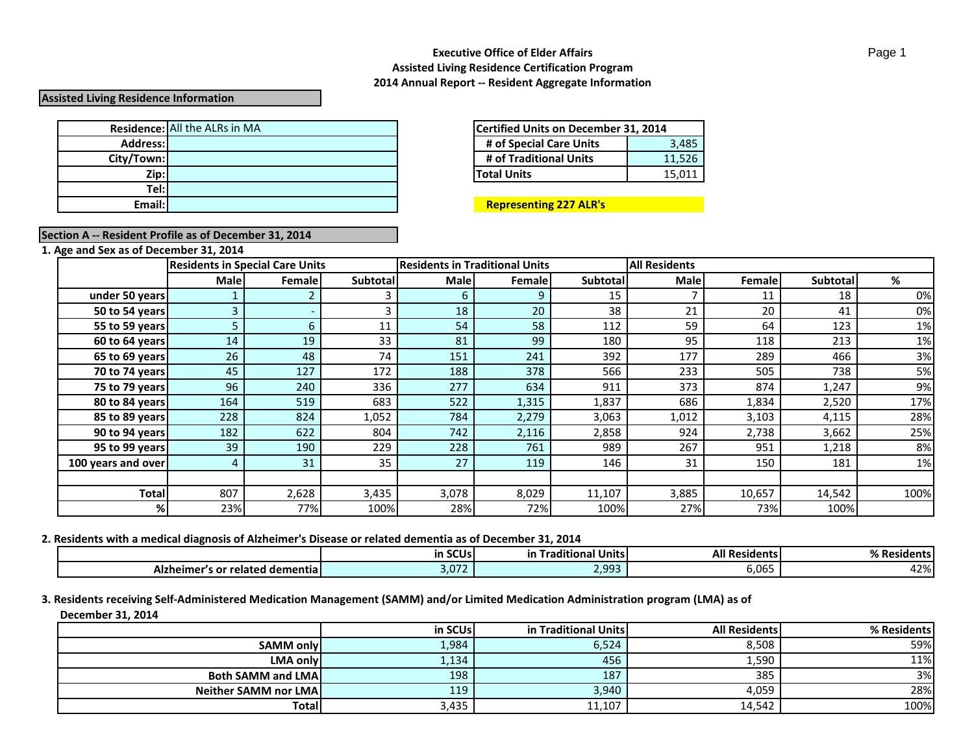## **Assisted Living Residence Information**

|            | <b>Residence:</b> All the ALRs in MA | Certified Units on December 31, 2014 |        |  |
|------------|--------------------------------------|--------------------------------------|--------|--|
| Address:   |                                      | # of Special Care Units              | 3.485  |  |
| City/Town: |                                      | # of Traditional Units               | 11.526 |  |
| Zip:       |                                      | <b>Total Units</b>                   | 15,011 |  |
| Tel:l      |                                      |                                      |        |  |
| Email:     |                                      | <b>Representing 227 ALR's</b>        |        |  |

| Certified Units on December 31, 2014 |        |  |  |  |
|--------------------------------------|--------|--|--|--|
| # of Special Care Units              | 3,485  |  |  |  |
| # of Traditional Units               | 11,526 |  |  |  |
| <b>Total Units</b>                   | 15.011 |  |  |  |

### **Email: Representing 227 ALR's**

# **Section A -- Resident Profile as of December 31, 2014**

**1. Age and Sex as of December 31, 2014**

|                    |      | <b>Residents in Special Care Units</b> |                 | <b>Residents in Traditional Units</b> |         | <b>All Residents</b> |             |         |          |      |
|--------------------|------|----------------------------------------|-----------------|---------------------------------------|---------|----------------------|-------------|---------|----------|------|
|                    | Male | Female                                 | <b>Subtotal</b> | <b>Male</b>                           | Femalel | <b>Subtotall</b>     | <b>Male</b> | Femalel | Subtotal | %    |
| under 50 years     |      |                                        |                 |                                       | Ο       | 15                   |             | 11      | 18       | 0%   |
| 50 to 54 years     |      |                                        |                 | 18                                    | 20      | 38                   | 21          | 20      | 41       | 0%   |
| 55 to 59 years     |      |                                        | 11              | 54                                    | 58      | 112                  | 59          | 64      | 123      | 1%   |
| 60 to 64 years     | 14   | 19                                     | 33              | 81                                    | 99      | 180                  | 95          | 118     | 213      | 1%   |
| 65 to 69 years     | 26   | 48                                     | 74              | 151                                   | 241     | 392                  | 177         | 289     | 466      | 3%   |
| 70 to 74 years     | 45   | 127                                    | 172             | 188                                   | 378     | 566                  | 233         | 505     | 738      | 5%   |
| 75 to 79 years     | 96   | 240                                    | 336             | 277                                   | 634     | 911                  | 373         | 874     | 1,247    | 9%   |
| 80 to 84 years     | 164  | 519                                    | 683             | 522                                   | 1,315   | 1,837                | 686         | 1,834   | 2,520    | 17%  |
| 85 to 89 years     | 228  | 824                                    | 1,052           | 784                                   | 2,279   | 3,063                | 1,012       | 3,103   | 4,115    | 28%  |
| 90 to 94 years     | 182  | 622                                    | 804             | 742                                   | 2,116   | 2,858                | 924         | 2,738   | 3,662    | 25%  |
| 95 to 99 years     | 39   | 190                                    | 229             | 228                                   | 761     | 989                  | 267         | 951     | 1,218    | 8%   |
| 100 years and over | 4    | 31                                     | 35              | 27                                    | 119     | 146                  | 31          | 150     | 181      | 1%   |
|                    |      |                                        |                 |                                       |         |                      |             |         |          |      |
| <b>Total</b>       | 807  | 2,628                                  | 3,435           | 3,078                                 | 8,029   | 11,107               | 3,885       | 10,657  | 14,542   | 100% |
| %                  | 23%  | 77%                                    | 100%            | 28%                                   | 72%     | 100%                 | 27%         | 73%     | 100%     |      |

#### **2. Residents with a medical diagnosis of Alzheimer's Disease or related dementia as of December 31, 2014**

|                                       | SCU <sub>s</sub><br>ın St | $\cdots$<br>$\bullet$ $\sim$<br>ditional Unitsl<br>ın<br>. на с | <b>All Residents</b>               | n/<br>% Residents। |
|---------------------------------------|---------------------------|-----------------------------------------------------------------|------------------------------------|--------------------|
| 's or related demential<br>Alzheimer′ | $\cap$ 71<br>.J.UZ        | , dd3<br>-.--                                                   | $\sim$ $\sim$ $\sim$<br>∽<br>v.vvJ | $\sim$<br>4270 I   |

## **3. Residents receiving Self-Administered Medication Management (SAMM) and/or Limited Medication Administration program (LMA) as of December 31, 2014**

|                              | in SCUs | in Traditional Units | <b>All Residents</b> | % Residents |
|------------------------------|---------|----------------------|----------------------|-------------|
| <b>SAMM only</b>             | 1,984   | 6,524                | 8,508                | 59%         |
| <b>LMA onlyl</b>             | 1,134   | 456                  | 1,590                | 11%         |
| <b>Both SAMM and LMAI</b>    | 198     | 187                  | 385                  | 3%          |
| <b>Neither SAMM nor LMAI</b> | 119     | 3,940                | 4,059                | 28%         |
| <b>Total</b>                 | 3,435   | 11,107               | 14,542               | 100%        |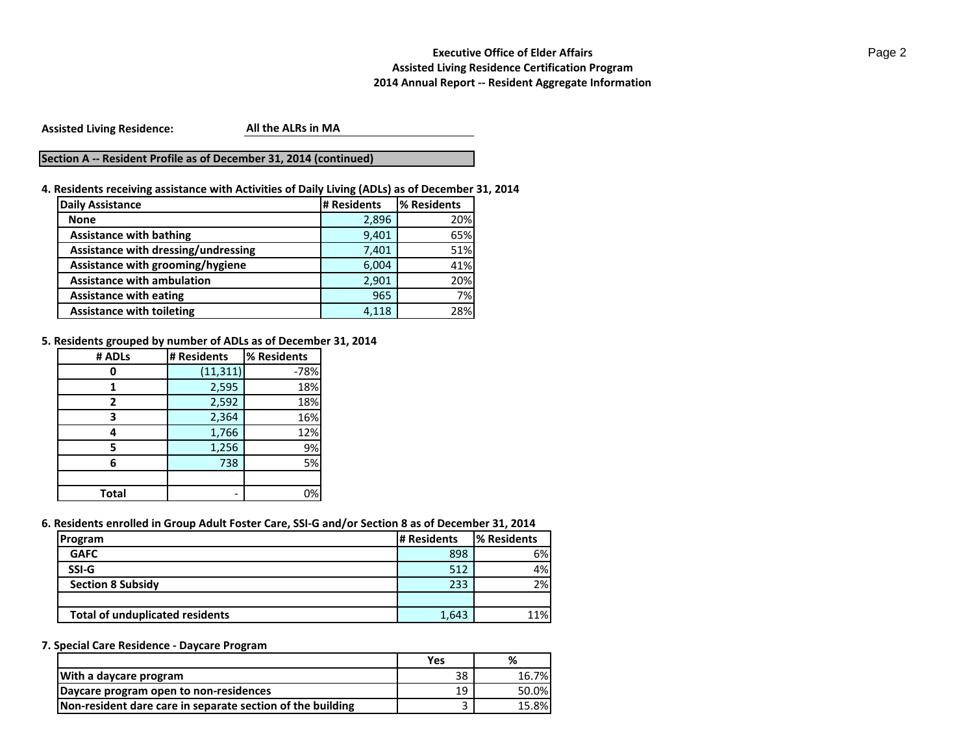**Assisted Living Residence:**

**All the ALRs in MA**

## **Section A -- Resident Profile as of December 31, 2014 (continued)**

**4. Residents receiving assistance with Activities of Daily Living (ADLs) as of December 31, 2014**

| <b>Daily Assistance</b>             | # Residents | % Residents |
|-------------------------------------|-------------|-------------|
| <b>None</b>                         | 2,896       | 20%         |
| <b>Assistance with bathing</b>      | 9,401       | 65%         |
| Assistance with dressing/undressing | 7,401       | 51%         |
| Assistance with grooming/hygiene    | 6,004       | 41%         |
| <b>Assistance with ambulation</b>   | 2,901       | 20%         |
| <b>Assistance with eating</b>       | 965         | 7%          |
| <b>Assistance with toileting</b>    | 4.118       | 28%         |

**5. Residents grouped by number of ADLs as of December 31, 2014**

| # ADLs | # Residents | % Residents |
|--------|-------------|-------------|
|        | (11, 311)   | $-78%$      |
|        | 2,595       | 18%         |
| 2      | 2,592       | 18%         |
| ว      | 2,364       | 16%         |
|        | 1,766       | 12%         |
|        | 1,256       | 9%          |
| 6      | 738         | 5%          |
|        |             |             |
| Total  |             | 0%          |

#### **6. Residents enrolled in Group Adult Foster Care, SSI-G and/or Section 8 as of December 31, 2014**

| Program                                | # Residents | % Residents |
|----------------------------------------|-------------|-------------|
| <b>GAFC</b>                            | 898         | 6%          |
| SSI-G                                  | 512         | 4%          |
| <b>Section 8 Subsidy</b>               | 233         | 2%          |
|                                        |             |             |
| <b>Total of unduplicated residents</b> | 1,643       | 11%         |

## **7. Special Care Residence - Daycare Program**

|                                                            | Yes | %     |
|------------------------------------------------------------|-----|-------|
| With a daycare program                                     | 38  | 16.7% |
| Daycare program open to non-residences                     | 19  | 50.0% |
| Non-resident dare care in separate section of the building |     | 15.8% |